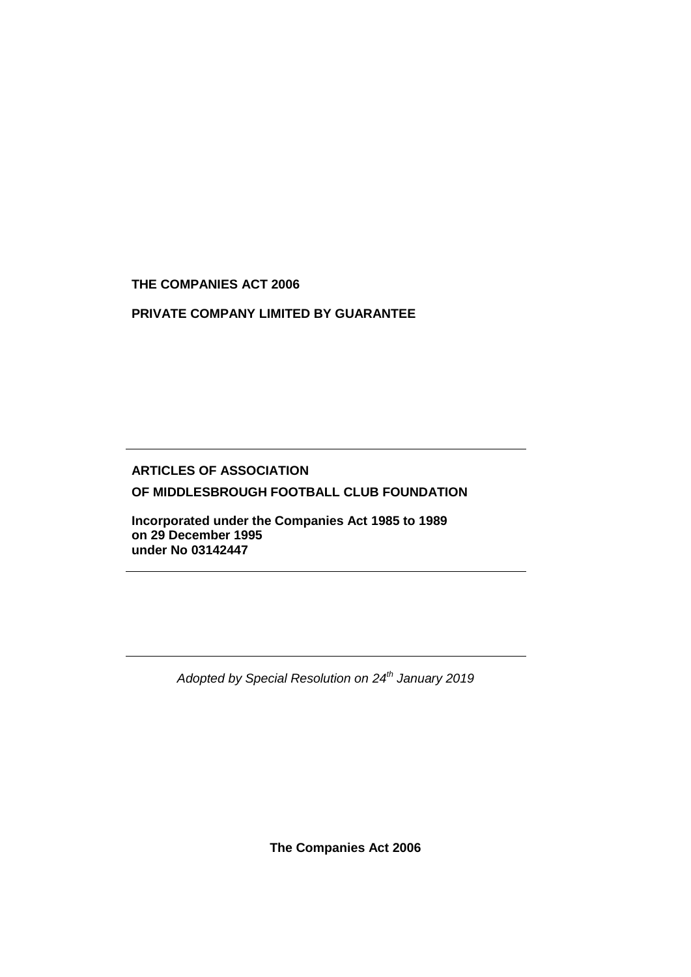**THE COMPANIES ACT 2006**

**PRIVATE COMPANY LIMITED BY GUARANTEE**

# **ARTICLES OF ASSOCIATION OF MIDDLESBROUGH FOOTBALL CLUB FOUNDATION**

**Incorporated under the Companies Act 1985 to 1989 on 29 December 1995 under No 03142447** 

*Adopted by Special Resolution on 24th January 2019*

**The Companies Act 2006**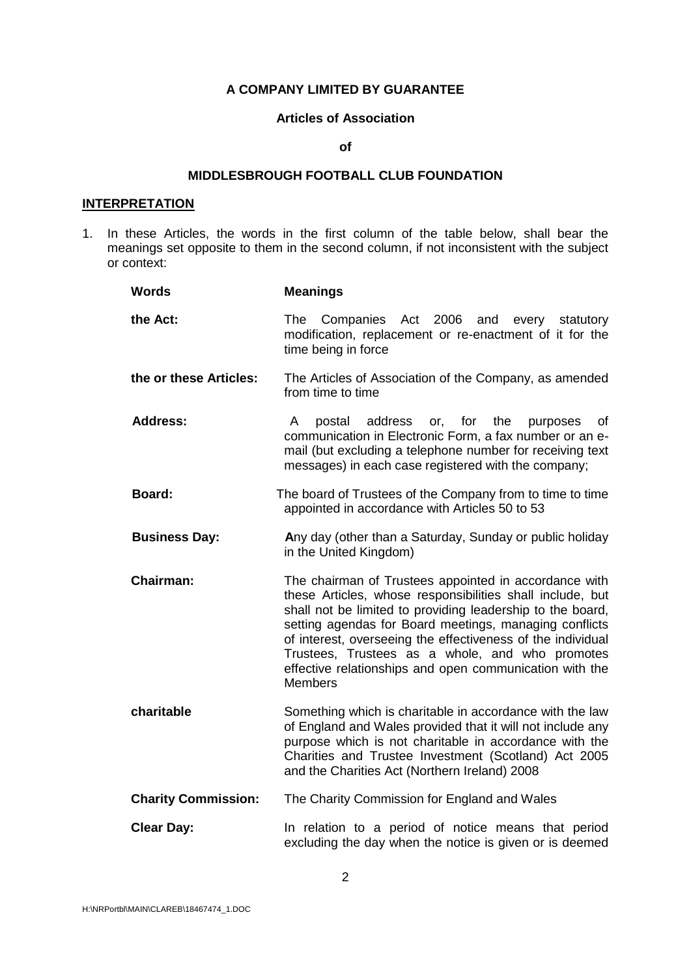# **A COMPANY LIMITED BY GUARANTEE**

#### **Articles of Association**

#### **of**

# **MIDDLESBROUGH FOOTBALL CLUB FOUNDATION**

### **INTERPRETATION**

1. In these Articles, the words in the first column of the table below, shall bear the meanings set opposite to them in the second column, if not inconsistent with the subject or context:

| <b>Words</b>               | <b>Meanings</b>                                                                                                                                                                                                                                                                                                                                                                                                                           |
|----------------------------|-------------------------------------------------------------------------------------------------------------------------------------------------------------------------------------------------------------------------------------------------------------------------------------------------------------------------------------------------------------------------------------------------------------------------------------------|
| the Act:                   | Companies Act 2006<br>The<br>and<br>every<br>statutory<br>modification, replacement or re-enactment of it for the<br>time being in force                                                                                                                                                                                                                                                                                                  |
| the or these Articles:     | The Articles of Association of the Company, as amended<br>from time to time                                                                                                                                                                                                                                                                                                                                                               |
| <b>Address:</b>            | A<br>postal<br>address<br>or, for<br>the<br>purposes<br>0f<br>communication in Electronic Form, a fax number or an e-<br>mail (but excluding a telephone number for receiving text<br>messages) in each case registered with the company;                                                                                                                                                                                                 |
| <b>Board:</b>              | The board of Trustees of the Company from to time to time<br>appointed in accordance with Articles 50 to 53                                                                                                                                                                                                                                                                                                                               |
| <b>Business Day:</b>       | Any day (other than a Saturday, Sunday or public holiday<br>in the United Kingdom)                                                                                                                                                                                                                                                                                                                                                        |
| <b>Chairman:</b>           | The chairman of Trustees appointed in accordance with<br>these Articles, whose responsibilities shall include, but<br>shall not be limited to providing leadership to the board,<br>setting agendas for Board meetings, managing conflicts<br>of interest, overseeing the effectiveness of the individual<br>Trustees, Trustees as a whole, and who promotes<br>effective relationships and open communication with the<br><b>Members</b> |
| charitable                 | Something which is charitable in accordance with the law<br>of England and Wales provided that it will not include any<br>purpose which is not charitable in accordance with the<br>Charities and Trustee Investment (Scotland) Act 2005<br>and the Charities Act (Northern Ireland) 2008                                                                                                                                                 |
| <b>Charity Commission:</b> | The Charity Commission for England and Wales                                                                                                                                                                                                                                                                                                                                                                                              |
| <b>Clear Day:</b>          | In relation to a period of notice means that period<br>excluding the day when the notice is given or is deemed                                                                                                                                                                                                                                                                                                                            |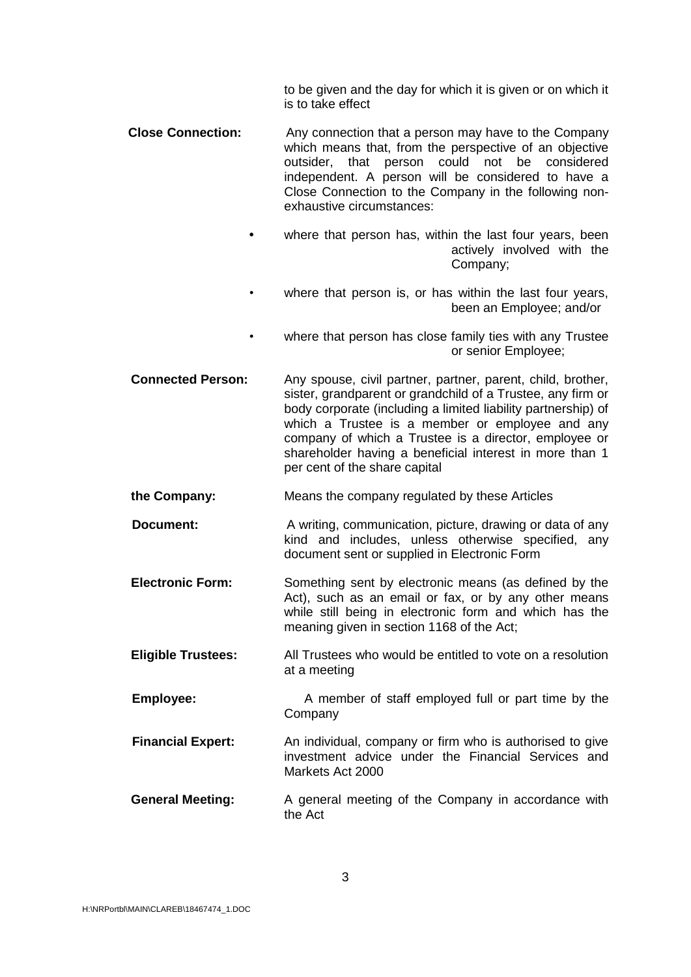to be given and the day for which it is given or on which it is to take effect

- **Close Connection:** Any connection that a person may have to the Company which means that, from the perspective of an objective outsider, that person could not be considered independent. A person will be considered to have a Close Connection to the Company in the following nonexhaustive circumstances:
	- **•** where that person has, within the last four years, been actively involved with the Company;
	- where that person is, or has within the last four years, been an Employee; and/or
	- where that person has close family ties with any Trustee or senior Employee;
- **Connected Person:** Any spouse, civil partner, partner, parent, child, brother, sister, grandparent or grandchild of a Trustee, any firm or body corporate (including a limited liability partnership) of which a Trustee is a member or employee and any company of which a Trustee is a director, employee or shareholder having a beneficial interest in more than 1 per cent of the share capital
- **the Company:** Means the company regulated by these Articles
- **Document:** A writing, communication, picture, drawing or data of any kind and includes, unless otherwise specified, any document sent or supplied in Electronic Form
- **Electronic Form:** Something sent by electronic means (as defined by the Act), such as an email or fax, or by any other means while still being in electronic form and which has the meaning given in section 1168 of the Act;
- **Eligible Trustees:** All Trustees who would be entitled to vote on a resolution at a meeting
- **Employee:** A member of staff employed full or part time by the Company
- **Financial Expert:** An individual, company or firm who is authorised to give investment advice under the Financial Services and Markets Act 2000
- **General Meeting:** A general meeting of the Company in accordance with the Act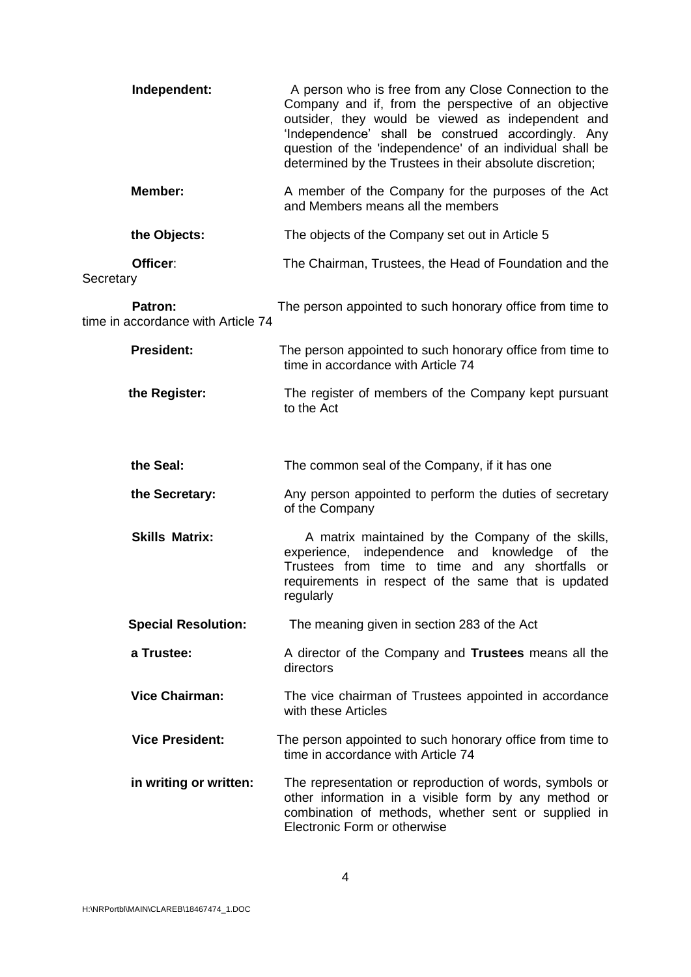| Independent:                                  | A person who is free from any Close Connection to the<br>Company and if, from the perspective of an objective<br>outsider, they would be viewed as independent and<br>'Independence' shall be construed accordingly. Any<br>question of the 'independence' of an individual shall be<br>determined by the Trustees in their absolute discretion; |
|-----------------------------------------------|--------------------------------------------------------------------------------------------------------------------------------------------------------------------------------------------------------------------------------------------------------------------------------------------------------------------------------------------------|
| Member:                                       | A member of the Company for the purposes of the Act<br>and Members means all the members                                                                                                                                                                                                                                                         |
| the Objects:                                  | The objects of the Company set out in Article 5                                                                                                                                                                                                                                                                                                  |
| Officer:<br>Secretary                         | The Chairman, Trustees, the Head of Foundation and the                                                                                                                                                                                                                                                                                           |
| Patron:<br>time in accordance with Article 74 | The person appointed to such honorary office from time to                                                                                                                                                                                                                                                                                        |
| <b>President:</b>                             | The person appointed to such honorary office from time to<br>time in accordance with Article 74                                                                                                                                                                                                                                                  |
| the Register:                                 | The register of members of the Company kept pursuant<br>to the Act                                                                                                                                                                                                                                                                               |
| the Seal:                                     | The common seal of the Company, if it has one                                                                                                                                                                                                                                                                                                    |
| the Secretary:                                | Any person appointed to perform the duties of secretary<br>of the Company                                                                                                                                                                                                                                                                        |
| <b>Skills Matrix:</b>                         | A matrix maintained by the Company of the skills,<br>independence and knowledge of the<br>experience,<br>Trustees from time to time and any shortfalls or<br>requirements in respect of the same that is updated<br>regularly                                                                                                                    |
| <b>Special Resolution:</b>                    | The meaning given in section 283 of the Act                                                                                                                                                                                                                                                                                                      |
| a Trustee:                                    | A director of the Company and Trustees means all the<br>directors                                                                                                                                                                                                                                                                                |
| <b>Vice Chairman:</b>                         | The vice chairman of Trustees appointed in accordance<br>with these Articles                                                                                                                                                                                                                                                                     |
| <b>Vice President:</b>                        | The person appointed to such honorary office from time to<br>time in accordance with Article 74                                                                                                                                                                                                                                                  |
| in writing or written:                        | The representation or reproduction of words, symbols or<br>other information in a visible form by any method or<br>combination of methods, whether sent or supplied in<br>Electronic Form or otherwise                                                                                                                                           |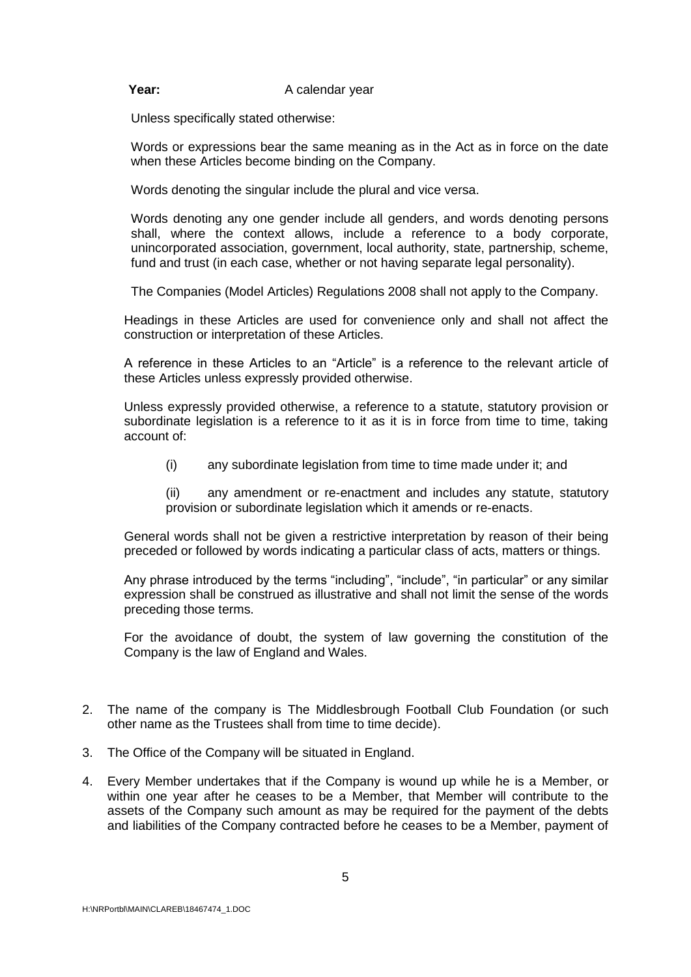#### **Year:** A calendar year

Unless specifically stated otherwise:

Words or expressions bear the same meaning as in the Act as in force on the date when these Articles become binding on the Company.

Words denoting the singular include the plural and vice versa.

Words denoting any one gender include all genders, and words denoting persons shall, where the context allows, include a reference to a body corporate, unincorporated association, government, local authority, state, partnership, scheme, fund and trust (in each case, whether or not having separate legal personality).

The Companies (Model Articles) Regulations 2008 shall not apply to the Company.

Headings in these Articles are used for convenience only and shall not affect the construction or interpretation of these Articles.

A reference in these Articles to an "Article" is a reference to the relevant article of these Articles unless expressly provided otherwise.

Unless expressly provided otherwise, a reference to a statute, statutory provision or subordinate legislation is a reference to it as it is in force from time to time, taking account of:

(i) any subordinate legislation from time to time made under it; and

(ii) any amendment or re-enactment and includes any statute, statutory provision or subordinate legislation which it amends or re-enacts.

General words shall not be given a restrictive interpretation by reason of their being preceded or followed by words indicating a particular class of acts, matters or things.

Any phrase introduced by the terms "including", "include", "in particular" or any similar expression shall be construed as illustrative and shall not limit the sense of the words preceding those terms.

For the avoidance of doubt, the system of law governing the constitution of the Company is the law of England and Wales.

- 2. The name of the company is The Middlesbrough Football Club Foundation (or such other name as the Trustees shall from time to time decide).
- 3. The Office of the Company will be situated in England.
- 4. Every Member undertakes that if the Company is wound up while he is a Member, or within one year after he ceases to be a Member, that Member will contribute to the assets of the Company such amount as may be required for the payment of the debts and liabilities of the Company contracted before he ceases to be a Member, payment of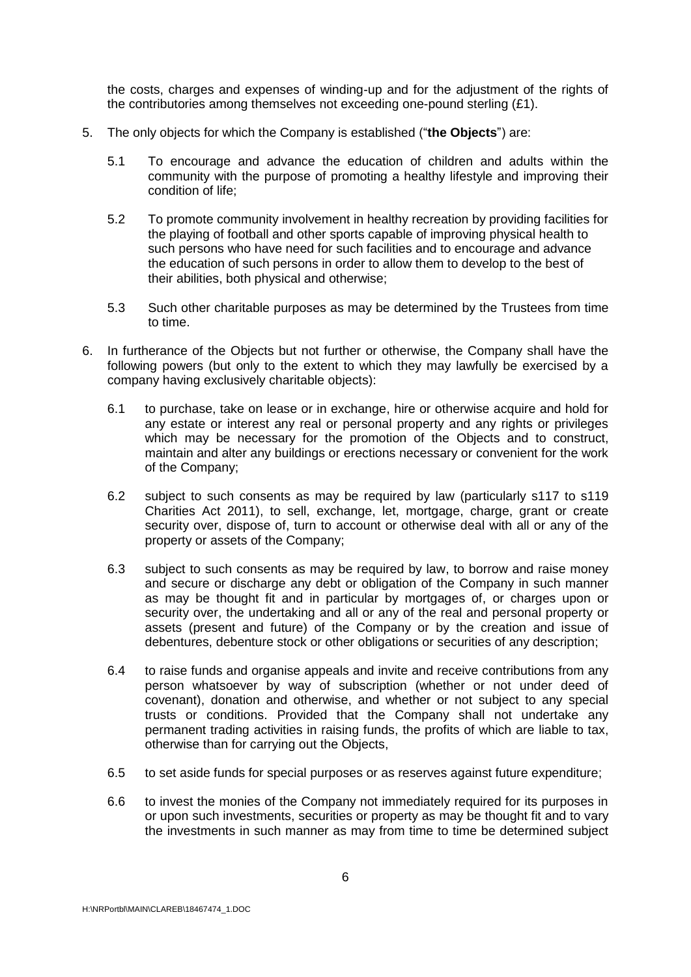the costs, charges and expenses of winding-up and for the adjustment of the rights of the contributories among themselves not exceeding one-pound sterling (£1).

- 5. The only objects for which the Company is established ("**the Objects**") are:
	- 5.1 To encourage and advance the education of children and adults within the community with the purpose of promoting a healthy lifestyle and improving their condition of life;
	- 5.2 To promote community involvement in healthy recreation by providing facilities for the playing of football and other sports capable of improving physical health to such persons who have need for such facilities and to encourage and advance the education of such persons in order to allow them to develop to the best of their abilities, both physical and otherwise;
	- 5.3 Such other charitable purposes as may be determined by the Trustees from time to time.
- 6. In furtherance of the Objects but not further or otherwise, the Company shall have the following powers (but only to the extent to which they may lawfully be exercised by a company having exclusively charitable objects):
	- 6.1 to purchase, take on lease or in exchange, hire or otherwise acquire and hold for any estate or interest any real or personal property and any rights or privileges which may be necessary for the promotion of the Objects and to construct, maintain and alter any buildings or erections necessary or convenient for the work of the Company;
	- 6.2 subject to such consents as may be required by law (particularly s117 to s119 Charities Act 2011), to sell, exchange, let, mortgage, charge, grant or create security over, dispose of, turn to account or otherwise deal with all or any of the property or assets of the Company;
	- 6.3 subject to such consents as may be required by law, to borrow and raise money and secure or discharge any debt or obligation of the Company in such manner as may be thought fit and in particular by mortgages of, or charges upon or security over, the undertaking and all or any of the real and personal property or assets (present and future) of the Company or by the creation and issue of debentures, debenture stock or other obligations or securities of any description;
	- 6.4 to raise funds and organise appeals and invite and receive contributions from any person whatsoever by way of subscription (whether or not under deed of covenant), donation and otherwise, and whether or not subject to any special trusts or conditions. Provided that the Company shall not undertake any permanent trading activities in raising funds, the profits of which are liable to tax, otherwise than for carrying out the Objects,
	- 6.5 to set aside funds for special purposes or as reserves against future expenditure;
	- 6.6 to invest the monies of the Company not immediately required for its purposes in or upon such investments, securities or property as may be thought fit and to vary the investments in such manner as may from time to time be determined subject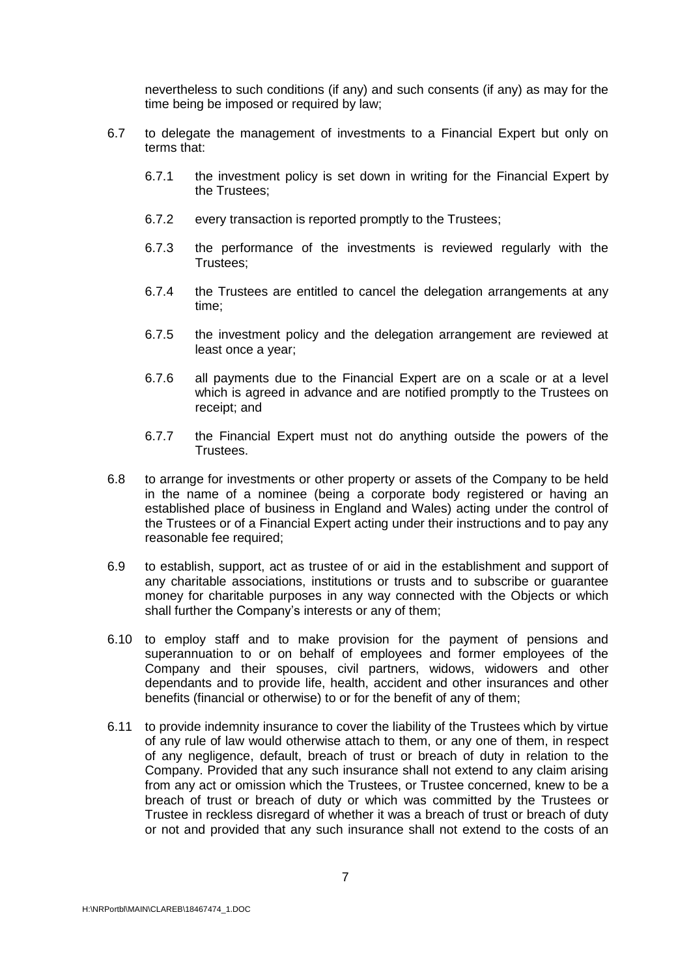nevertheless to such conditions (if any) and such consents (if any) as may for the time being be imposed or required by law;

- 6.7 to delegate the management of investments to a Financial Expert but only on terms that:
	- 6.7.1 the investment policy is set down in writing for the Financial Expert by the Trustees;
	- 6.7.2 every transaction is reported promptly to the Trustees;
	- 6.7.3 the performance of the investments is reviewed regularly with the Trustees;
	- 6.7.4 the Trustees are entitled to cancel the delegation arrangements at any time;
	- 6.7.5 the investment policy and the delegation arrangement are reviewed at least once a year;
	- 6.7.6 all payments due to the Financial Expert are on a scale or at a level which is agreed in advance and are notified promptly to the Trustees on receipt; and
	- 6.7.7 the Financial Expert must not do anything outside the powers of the Trustees.
- 6.8 to arrange for investments or other property or assets of the Company to be held in the name of a nominee (being a corporate body registered or having an established place of business in England and Wales) acting under the control of the Trustees or of a Financial Expert acting under their instructions and to pay any reasonable fee required;
- 6.9 to establish, support, act as trustee of or aid in the establishment and support of any charitable associations, institutions or trusts and to subscribe or guarantee money for charitable purposes in any way connected with the Objects or which shall further the Company's interests or any of them;
- 6.10 to employ staff and to make provision for the payment of pensions and superannuation to or on behalf of employees and former employees of the Company and their spouses, civil partners, widows, widowers and other dependants and to provide life, health, accident and other insurances and other benefits (financial or otherwise) to or for the benefit of any of them;
- 6.11 to provide indemnity insurance to cover the liability of the Trustees which by virtue of any rule of law would otherwise attach to them, or any one of them, in respect of any negligence, default, breach of trust or breach of duty in relation to the Company. Provided that any such insurance shall not extend to any claim arising from any act or omission which the Trustees, or Trustee concerned, knew to be a breach of trust or breach of duty or which was committed by the Trustees or Trustee in reckless disregard of whether it was a breach of trust or breach of duty or not and provided that any such insurance shall not extend to the costs of an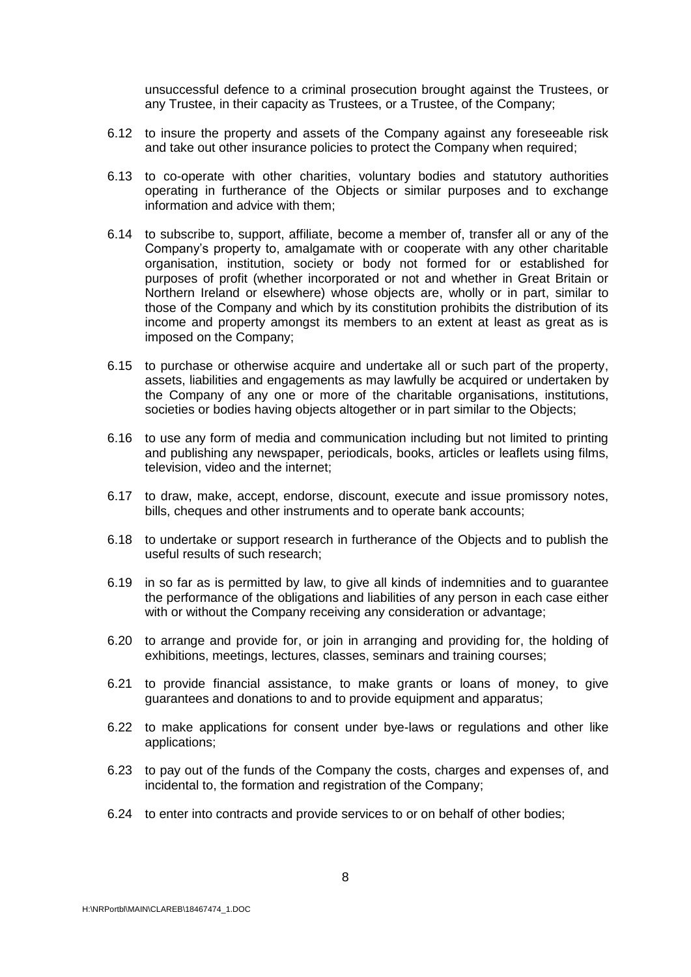unsuccessful defence to a criminal prosecution brought against the Trustees, or any Trustee, in their capacity as Trustees, or a Trustee, of the Company;

- 6.12 to insure the property and assets of the Company against any foreseeable risk and take out other insurance policies to protect the Company when required;
- 6.13 to co-operate with other charities, voluntary bodies and statutory authorities operating in furtherance of the Objects or similar purposes and to exchange information and advice with them;
- 6.14 to subscribe to, support, affiliate, become a member of, transfer all or any of the Company's property to, amalgamate with or cooperate with any other charitable organisation, institution, society or body not formed for or established for purposes of profit (whether incorporated or not and whether in Great Britain or Northern Ireland or elsewhere) whose objects are, wholly or in part, similar to those of the Company and which by its constitution prohibits the distribution of its income and property amongst its members to an extent at least as great as is imposed on the Company;
- 6.15 to purchase or otherwise acquire and undertake all or such part of the property, assets, liabilities and engagements as may lawfully be acquired or undertaken by the Company of any one or more of the charitable organisations, institutions, societies or bodies having objects altogether or in part similar to the Objects;
- 6.16 to use any form of media and communication including but not limited to printing and publishing any newspaper, periodicals, books, articles or leaflets using films, television, video and the internet;
- 6.17 to draw, make, accept, endorse, discount, execute and issue promissory notes, bills, cheques and other instruments and to operate bank accounts;
- 6.18 to undertake or support research in furtherance of the Objects and to publish the useful results of such research;
- 6.19 in so far as is permitted by law, to give all kinds of indemnities and to guarantee the performance of the obligations and liabilities of any person in each case either with or without the Company receiving any consideration or advantage;
- 6.20 to arrange and provide for, or join in arranging and providing for, the holding of exhibitions, meetings, lectures, classes, seminars and training courses;
- 6.21 to provide financial assistance, to make grants or loans of money, to give guarantees and donations to and to provide equipment and apparatus;
- 6.22 to make applications for consent under bye-laws or regulations and other like applications;
- 6.23 to pay out of the funds of the Company the costs, charges and expenses of, and incidental to, the formation and registration of the Company;
- 6.24 to enter into contracts and provide services to or on behalf of other bodies;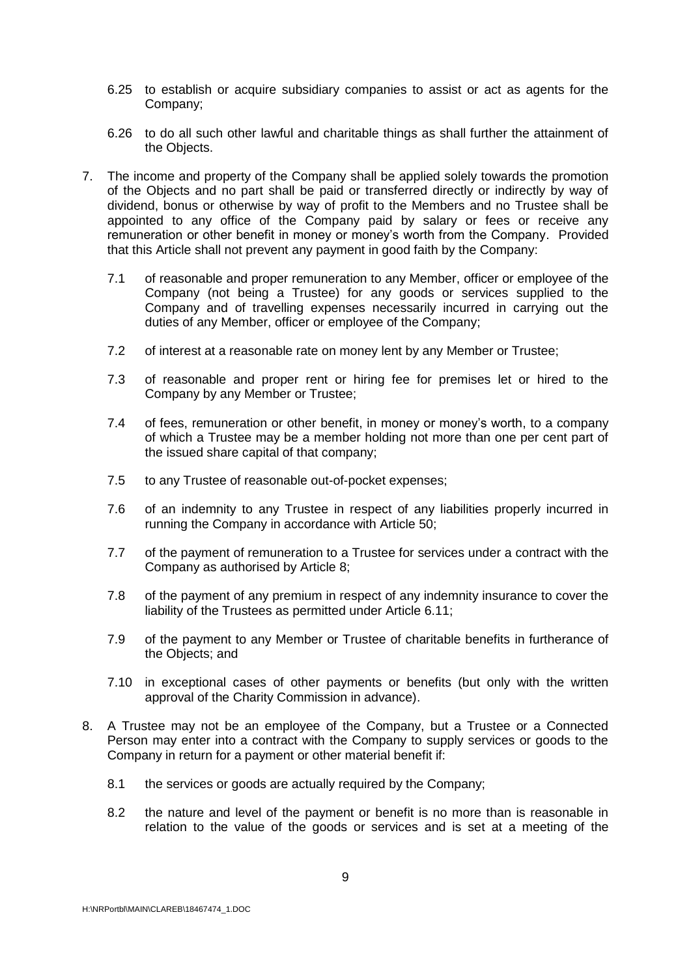- 6.25 to establish or acquire subsidiary companies to assist or act as agents for the Company;
- 6.26 to do all such other lawful and charitable things as shall further the attainment of the Objects.
- 7. The income and property of the Company shall be applied solely towards the promotion of the Objects and no part shall be paid or transferred directly or indirectly by way of dividend, bonus or otherwise by way of profit to the Members and no Trustee shall be appointed to any office of the Company paid by salary or fees or receive any remuneration or other benefit in money or money's worth from the Company. Provided that this Article shall not prevent any payment in good faith by the Company:
	- 7.1 of reasonable and proper remuneration to any Member, officer or employee of the Company (not being a Trustee) for any goods or services supplied to the Company and of travelling expenses necessarily incurred in carrying out the duties of any Member, officer or employee of the Company;
	- 7.2 of interest at a reasonable rate on money lent by any Member or Trustee;
	- 7.3 of reasonable and proper rent or hiring fee for premises let or hired to the Company by any Member or Trustee;
	- 7.4 of fees, remuneration or other benefit, in money or money's worth, to a company of which a Trustee may be a member holding not more than one per cent part of the issued share capital of that company;
	- 7.5 to any Trustee of reasonable out-of-pocket expenses;
	- 7.6 of an indemnity to any Trustee in respect of any liabilities properly incurred in running the Company in accordance with Article 50;
	- 7.7 of the payment of remuneration to a Trustee for services under a contract with the Company as authorised by Article 8;
	- 7.8 of the payment of any premium in respect of any indemnity insurance to cover the liability of the Trustees as permitted under Article 6.11;
	- 7.9 of the payment to any Member or Trustee of charitable benefits in furtherance of the Objects; and
	- 7.10 in exceptional cases of other payments or benefits (but only with the written approval of the Charity Commission in advance).
- 8. A Trustee may not be an employee of the Company, but a Trustee or a Connected Person may enter into a contract with the Company to supply services or goods to the Company in return for a payment or other material benefit if:
	- 8.1 the services or goods are actually required by the Company;
	- 8.2 the nature and level of the payment or benefit is no more than is reasonable in relation to the value of the goods or services and is set at a meeting of the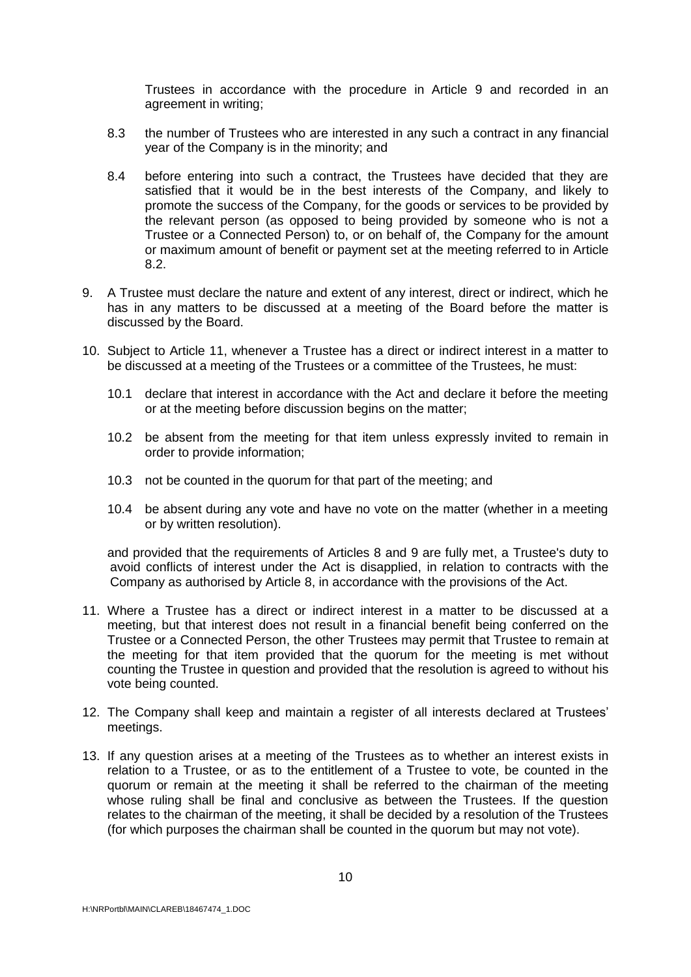Trustees in accordance with the procedure in Article 9 and recorded in an agreement in writing;

- 8.3 the number of Trustees who are interested in any such a contract in any financial year of the Company is in the minority; and
- 8.4 before entering into such a contract, the Trustees have decided that they are satisfied that it would be in the best interests of the Company, and likely to promote the success of the Company, for the goods or services to be provided by the relevant person (as opposed to being provided by someone who is not a Trustee or a Connected Person) to, or on behalf of, the Company for the amount or maximum amount of benefit or payment set at the meeting referred to in Article 8.2.
- 9. A Trustee must declare the nature and extent of any interest, direct or indirect, which he has in any matters to be discussed at a meeting of the Board before the matter is discussed by the Board.
- 10. Subject to Article 11, whenever a Trustee has a direct or indirect interest in a matter to be discussed at a meeting of the Trustees or a committee of the Trustees, he must:
	- 10.1 declare that interest in accordance with the Act and declare it before the meeting or at the meeting before discussion begins on the matter;
	- 10.2 be absent from the meeting for that item unless expressly invited to remain in order to provide information;
	- 10.3 not be counted in the quorum for that part of the meeting; and
	- 10.4 be absent during any vote and have no vote on the matter (whether in a meeting or by written resolution).

and provided that the requirements of Articles 8 and 9 are fully met, a Trustee's duty to avoid conflicts of interest under the Act is disapplied, in relation to contracts with the Company as authorised by Article 8, in accordance with the provisions of the Act.

- 11. Where a Trustee has a direct or indirect interest in a matter to be discussed at a meeting, but that interest does not result in a financial benefit being conferred on the Trustee or a Connected Person, the other Trustees may permit that Trustee to remain at the meeting for that item provided that the quorum for the meeting is met without counting the Trustee in question and provided that the resolution is agreed to without his vote being counted.
- 12. The Company shall keep and maintain a register of all interests declared at Trustees' meetings.
- 13. If any question arises at a meeting of the Trustees as to whether an interest exists in relation to a Trustee, or as to the entitlement of a Trustee to vote, be counted in the quorum or remain at the meeting it shall be referred to the chairman of the meeting whose ruling shall be final and conclusive as between the Trustees. If the question relates to the chairman of the meeting, it shall be decided by a resolution of the Trustees (for which purposes the chairman shall be counted in the quorum but may not vote).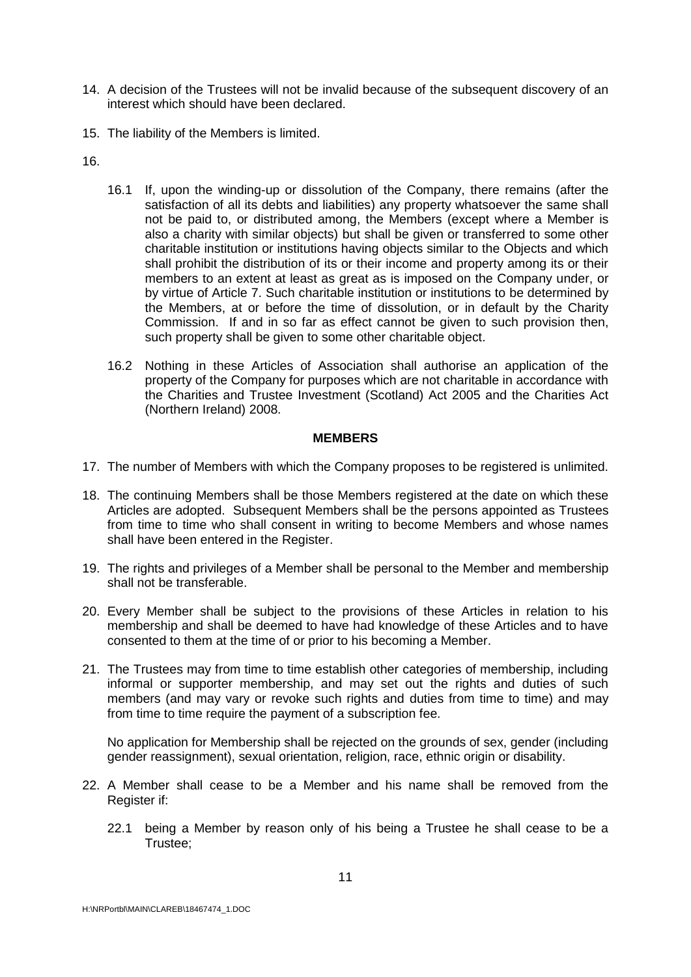- 14. A decision of the Trustees will not be invalid because of the subsequent discovery of an interest which should have been declared.
- 15. The liability of the Members is limited.

16.

- 16.1 If, upon the winding-up or dissolution of the Company, there remains (after the satisfaction of all its debts and liabilities) any property whatsoever the same shall not be paid to, or distributed among, the Members (except where a Member is also a charity with similar objects) but shall be given or transferred to some other charitable institution or institutions having objects similar to the Objects and which shall prohibit the distribution of its or their income and property among its or their members to an extent at least as great as is imposed on the Company under, or by virtue of Article 7. Such charitable institution or institutions to be determined by the Members, at or before the time of dissolution, or in default by the Charity Commission. If and in so far as effect cannot be given to such provision then, such property shall be given to some other charitable object.
- 16.2 Nothing in these Articles of Association shall authorise an application of the property of the Company for purposes which are not charitable in accordance with the Charities and Trustee Investment (Scotland) Act 2005 and the Charities Act (Northern Ireland) 2008.

#### **MEMBERS**

- 17. The number of Members with which the Company proposes to be registered is unlimited.
- 18. The continuing Members shall be those Members registered at the date on which these Articles are adopted. Subsequent Members shall be the persons appointed as Trustees from time to time who shall consent in writing to become Members and whose names shall have been entered in the Register.
- 19. The rights and privileges of a Member shall be personal to the Member and membership shall not be transferable.
- 20. Every Member shall be subject to the provisions of these Articles in relation to his membership and shall be deemed to have had knowledge of these Articles and to have consented to them at the time of or prior to his becoming a Member.
- 21. The Trustees may from time to time establish other categories of membership, including informal or supporter membership, and may set out the rights and duties of such members (and may vary or revoke such rights and duties from time to time) and may from time to time require the payment of a subscription fee.

No application for Membership shall be rejected on the grounds of sex, gender (including gender reassignment), sexual orientation, religion, race, ethnic origin or disability.

- 22. A Member shall cease to be a Member and his name shall be removed from the Register if:
	- 22.1 being a Member by reason only of his being a Trustee he shall cease to be a Trustee;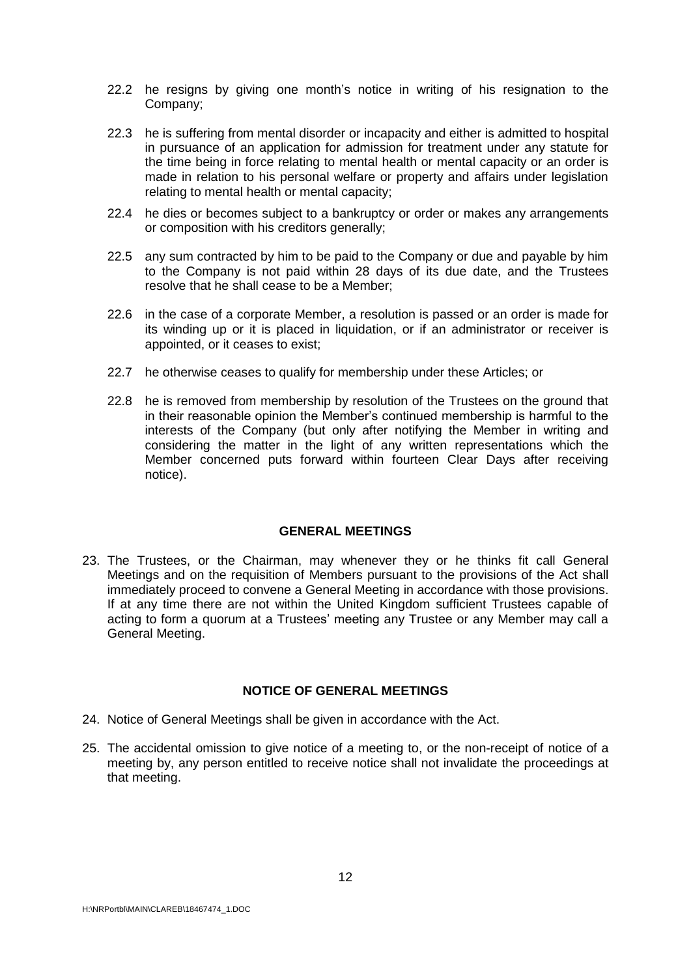- 22.2 he resigns by giving one month's notice in writing of his resignation to the Company;
- 22.3 he is suffering from mental disorder or incapacity and either is admitted to hospital in pursuance of an application for admission for treatment under any statute for the time being in force relating to mental health or mental capacity or an order is made in relation to his personal welfare or property and affairs under legislation relating to mental health or mental capacity;
- 22.4 he dies or becomes subject to a bankruptcy or order or makes any arrangements or composition with his creditors generally;
- 22.5 any sum contracted by him to be paid to the Company or due and payable by him to the Company is not paid within 28 days of its due date, and the Trustees resolve that he shall cease to be a Member;
- 22.6 in the case of a corporate Member, a resolution is passed or an order is made for its winding up or it is placed in liquidation, or if an administrator or receiver is appointed, or it ceases to exist;
- 22.7 he otherwise ceases to qualify for membership under these Articles; or
- 22.8 he is removed from membership by resolution of the Trustees on the ground that in their reasonable opinion the Member's continued membership is harmful to the interests of the Company (but only after notifying the Member in writing and considering the matter in the light of any written representations which the Member concerned puts forward within fourteen Clear Days after receiving notice).

#### **GENERAL MEETINGS**

23. The Trustees, or the Chairman, may whenever they or he thinks fit call General Meetings and on the requisition of Members pursuant to the provisions of the Act shall immediately proceed to convene a General Meeting in accordance with those provisions. If at any time there are not within the United Kingdom sufficient Trustees capable of acting to form a quorum at a Trustees' meeting any Trustee or any Member may call a General Meeting.

#### **NOTICE OF GENERAL MEETINGS**

- 24. Notice of General Meetings shall be given in accordance with the Act.
- 25. The accidental omission to give notice of a meeting to, or the non-receipt of notice of a meeting by, any person entitled to receive notice shall not invalidate the proceedings at that meeting.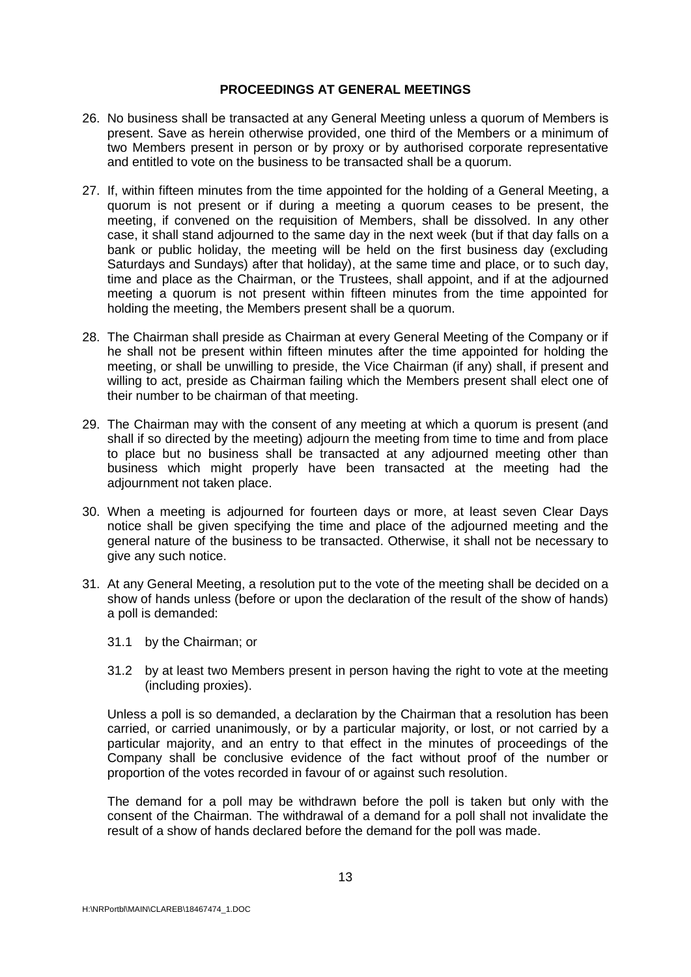#### **PROCEEDINGS AT GENERAL MEETINGS**

- 26. No business shall be transacted at any General Meeting unless a quorum of Members is present. Save as herein otherwise provided, one third of the Members or a minimum of two Members present in person or by proxy or by authorised corporate representative and entitled to vote on the business to be transacted shall be a quorum.
- 27. If, within fifteen minutes from the time appointed for the holding of a General Meeting, a quorum is not present or if during a meeting a quorum ceases to be present, the meeting, if convened on the requisition of Members, shall be dissolved. In any other case, it shall stand adjourned to the same day in the next week (but if that day falls on a bank or public holiday, the meeting will be held on the first business day (excluding Saturdays and Sundays) after that holiday), at the same time and place, or to such day, time and place as the Chairman, or the Trustees, shall appoint, and if at the adjourned meeting a quorum is not present within fifteen minutes from the time appointed for holding the meeting, the Members present shall be a quorum.
- 28. The Chairman shall preside as Chairman at every General Meeting of the Company or if he shall not be present within fifteen minutes after the time appointed for holding the meeting, or shall be unwilling to preside, the Vice Chairman (if any) shall, if present and willing to act, preside as Chairman failing which the Members present shall elect one of their number to be chairman of that meeting.
- 29. The Chairman may with the consent of any meeting at which a quorum is present (and shall if so directed by the meeting) adjourn the meeting from time to time and from place to place but no business shall be transacted at any adjourned meeting other than business which might properly have been transacted at the meeting had the adjournment not taken place.
- 30. When a meeting is adjourned for fourteen days or more, at least seven Clear Days notice shall be given specifying the time and place of the adjourned meeting and the general nature of the business to be transacted. Otherwise, it shall not be necessary to give any such notice.
- 31. At any General Meeting, a resolution put to the vote of the meeting shall be decided on a show of hands unless (before or upon the declaration of the result of the show of hands) a poll is demanded:
	- 31.1 by the Chairman; or
	- 31.2 by at least two Members present in person having the right to vote at the meeting (including proxies).

Unless a poll is so demanded, a declaration by the Chairman that a resolution has been carried, or carried unanimously, or by a particular majority, or lost, or not carried by a particular majority, and an entry to that effect in the minutes of proceedings of the Company shall be conclusive evidence of the fact without proof of the number or proportion of the votes recorded in favour of or against such resolution.

The demand for a poll may be withdrawn before the poll is taken but only with the consent of the Chairman. The withdrawal of a demand for a poll shall not invalidate the result of a show of hands declared before the demand for the poll was made.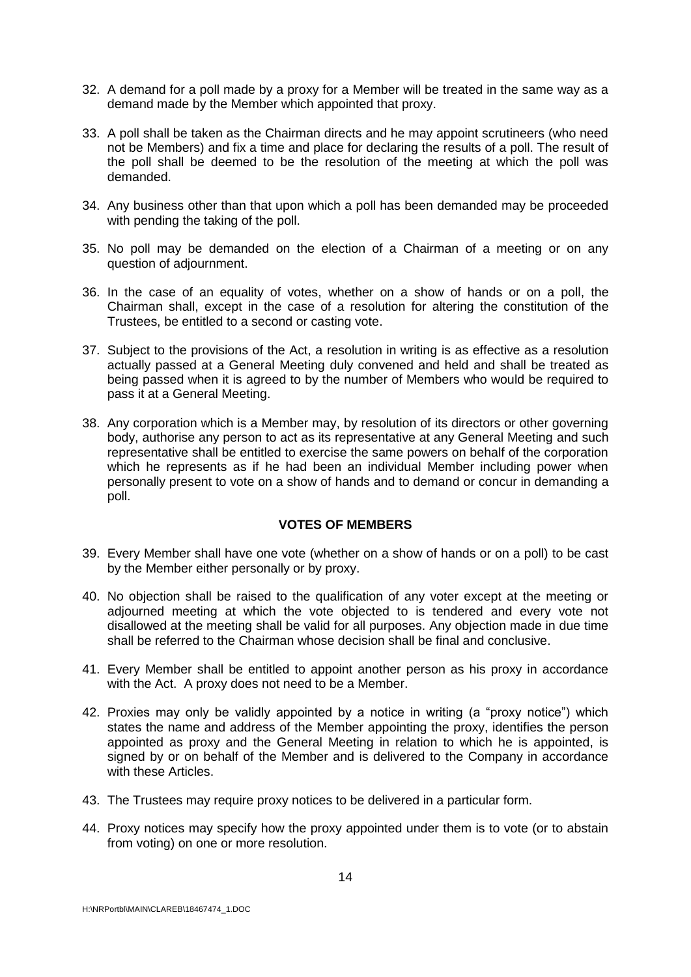- 32. A demand for a poll made by a proxy for a Member will be treated in the same way as a demand made by the Member which appointed that proxy.
- 33. A poll shall be taken as the Chairman directs and he may appoint scrutineers (who need not be Members) and fix a time and place for declaring the results of a poll. The result of the poll shall be deemed to be the resolution of the meeting at which the poll was demanded.
- 34. Any business other than that upon which a poll has been demanded may be proceeded with pending the taking of the poll.
- 35. No poll may be demanded on the election of a Chairman of a meeting or on any question of adjournment.
- 36. In the case of an equality of votes, whether on a show of hands or on a poll, the Chairman shall, except in the case of a resolution for altering the constitution of the Trustees, be entitled to a second or casting vote.
- 37. Subject to the provisions of the Act, a resolution in writing is as effective as a resolution actually passed at a General Meeting duly convened and held and shall be treated as being passed when it is agreed to by the number of Members who would be required to pass it at a General Meeting.
- 38. Any corporation which is a Member may, by resolution of its directors or other governing body, authorise any person to act as its representative at any General Meeting and such representative shall be entitled to exercise the same powers on behalf of the corporation which he represents as if he had been an individual Member including power when personally present to vote on a show of hands and to demand or concur in demanding a poll.

# **VOTES OF MEMBERS**

- 39. Every Member shall have one vote (whether on a show of hands or on a poll) to be cast by the Member either personally or by proxy.
- 40. No objection shall be raised to the qualification of any voter except at the meeting or adjourned meeting at which the vote objected to is tendered and every vote not disallowed at the meeting shall be valid for all purposes. Any objection made in due time shall be referred to the Chairman whose decision shall be final and conclusive.
- 41. Every Member shall be entitled to appoint another person as his proxy in accordance with the Act. A proxy does not need to be a Member.
- 42. Proxies may only be validly appointed by a notice in writing (a "proxy notice") which states the name and address of the Member appointing the proxy, identifies the person appointed as proxy and the General Meeting in relation to which he is appointed, is signed by or on behalf of the Member and is delivered to the Company in accordance with these Articles.
- 43. The Trustees may require proxy notices to be delivered in a particular form.
- 44. Proxy notices may specify how the proxy appointed under them is to vote (or to abstain from voting) on one or more resolution.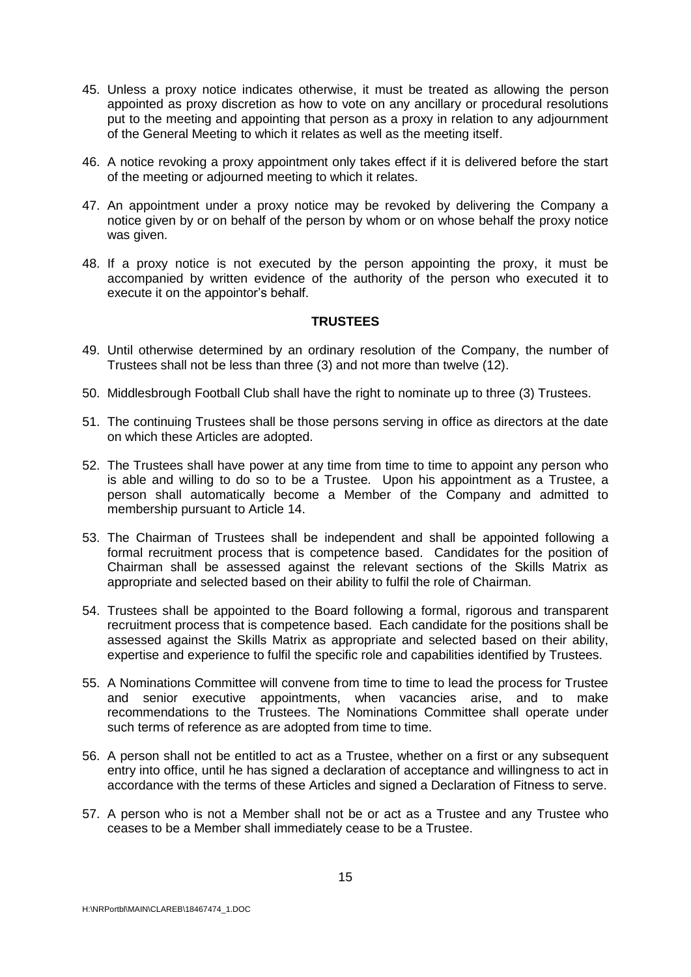- 45. Unless a proxy notice indicates otherwise, it must be treated as allowing the person appointed as proxy discretion as how to vote on any ancillary or procedural resolutions put to the meeting and appointing that person as a proxy in relation to any adjournment of the General Meeting to which it relates as well as the meeting itself.
- 46. A notice revoking a proxy appointment only takes effect if it is delivered before the start of the meeting or adjourned meeting to which it relates.
- 47. An appointment under a proxy notice may be revoked by delivering the Company a notice given by or on behalf of the person by whom or on whose behalf the proxy notice was given.
- 48. If a proxy notice is not executed by the person appointing the proxy, it must be accompanied by written evidence of the authority of the person who executed it to execute it on the appointor's behalf.

#### **TRUSTEES**

- 49. Until otherwise determined by an ordinary resolution of the Company, the number of Trustees shall not be less than three (3) and not more than twelve (12).
- 50. Middlesbrough Football Club shall have the right to nominate up to three (3) Trustees.
- 51. The continuing Trustees shall be those persons serving in office as directors at the date on which these Articles are adopted.
- 52. The Trustees shall have power at any time from time to time to appoint any person who is able and willing to do so to be a Trustee. Upon his appointment as a Trustee, a person shall automatically become a Member of the Company and admitted to membership pursuant to Article 14.
- 53. The Chairman of Trustees shall be independent and shall be appointed following a formal recruitment process that is competence based. Candidates for the position of Chairman shall be assessed against the relevant sections of the Skills Matrix as appropriate and selected based on their ability to fulfil the role of Chairman.
- 54. Trustees shall be appointed to the Board following a formal, rigorous and transparent recruitment process that is competence based. Each candidate for the positions shall be assessed against the Skills Matrix as appropriate and selected based on their ability, expertise and experience to fulfil the specific role and capabilities identified by Trustees.
- 55. A Nominations Committee will convene from time to time to lead the process for Trustee and senior executive appointments, when vacancies arise, and to make recommendations to the Trustees. The Nominations Committee shall operate under such terms of reference as are adopted from time to time.
- 56. A person shall not be entitled to act as a Trustee, whether on a first or any subsequent entry into office, until he has signed a declaration of acceptance and willingness to act in accordance with the terms of these Articles and signed a Declaration of Fitness to serve.
- 57. A person who is not a Member shall not be or act as a Trustee and any Trustee who ceases to be a Member shall immediately cease to be a Trustee.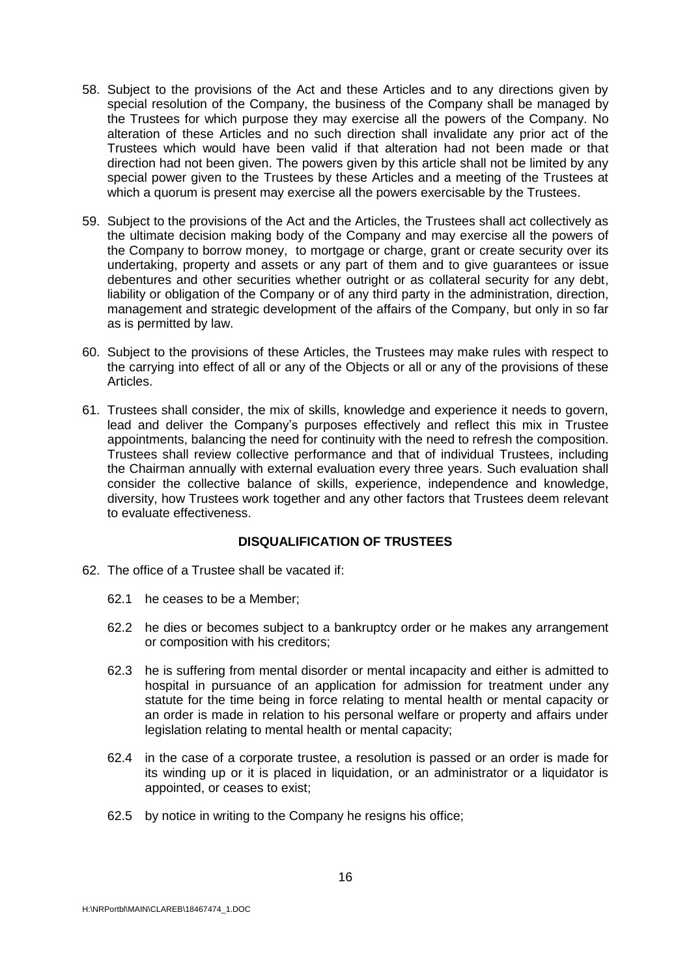- 58. Subject to the provisions of the Act and these Articles and to any directions given by special resolution of the Company, the business of the Company shall be managed by the Trustees for which purpose they may exercise all the powers of the Company. No alteration of these Articles and no such direction shall invalidate any prior act of the Trustees which would have been valid if that alteration had not been made or that direction had not been given. The powers given by this article shall not be limited by any special power given to the Trustees by these Articles and a meeting of the Trustees at which a quorum is present may exercise all the powers exercisable by the Trustees.
- 59. Subject to the provisions of the Act and the Articles, the Trustees shall act collectively as the ultimate decision making body of the Company and may exercise all the powers of the Company to borrow money, to mortgage or charge, grant or create security over its undertaking, property and assets or any part of them and to give guarantees or issue debentures and other securities whether outright or as collateral security for any debt, liability or obligation of the Company or of any third party in the administration, direction, management and strategic development of the affairs of the Company, but only in so far as is permitted by law.
- 60. Subject to the provisions of these Articles, the Trustees may make rules with respect to the carrying into effect of all or any of the Objects or all or any of the provisions of these Articles.
- 61. Trustees shall consider, the mix of skills, knowledge and experience it needs to govern, lead and deliver the Company's purposes effectively and reflect this mix in Trustee appointments, balancing the need for continuity with the need to refresh the composition. Trustees shall review collective performance and that of individual Trustees, including the Chairman annually with external evaluation every three years. Such evaluation shall consider the collective balance of skills, experience, independence and knowledge, diversity, how Trustees work together and any other factors that Trustees deem relevant to evaluate effectiveness.

# **DISQUALIFICATION OF TRUSTEES**

- 62. The office of a Trustee shall be vacated if:
	- 62.1 he ceases to be a Member;
	- 62.2 he dies or becomes subject to a bankruptcy order or he makes any arrangement or composition with his creditors;
	- 62.3 he is suffering from mental disorder or mental incapacity and either is admitted to hospital in pursuance of an application for admission for treatment under any statute for the time being in force relating to mental health or mental capacity or an order is made in relation to his personal welfare or property and affairs under legislation relating to mental health or mental capacity;
	- 62.4 in the case of a corporate trustee, a resolution is passed or an order is made for its winding up or it is placed in liquidation, or an administrator or a liquidator is appointed, or ceases to exist;
	- 62.5 by notice in writing to the Company he resigns his office;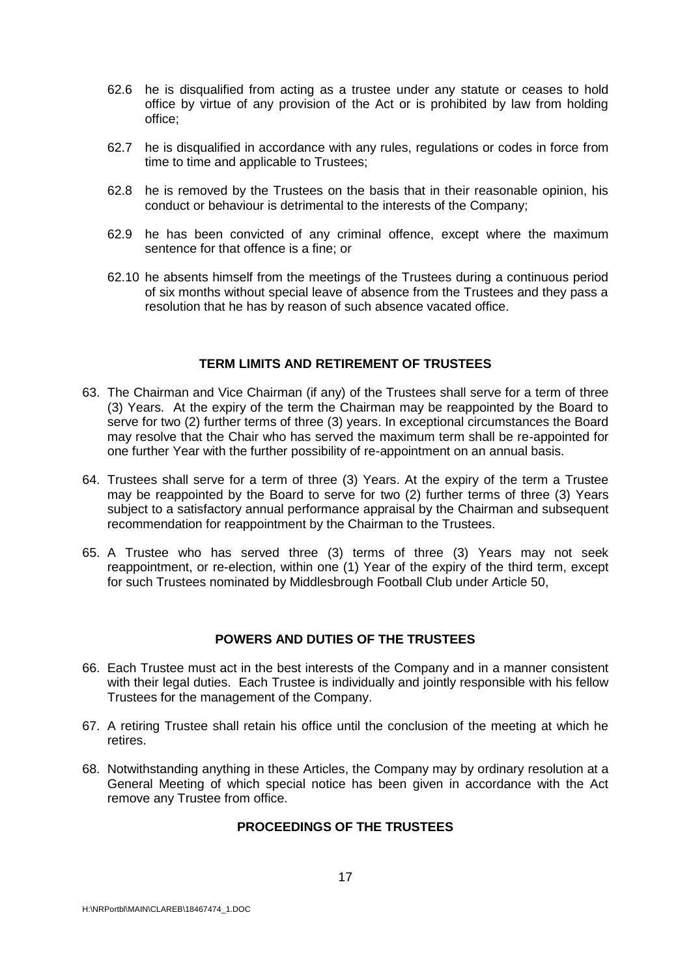- 62.6 he is disqualified from acting as a trustee under any statute or ceases to hold office by virtue of any provision of the Act or is prohibited by law from holding office;
- 62.7 he is disqualified in accordance with any rules, regulations or codes in force from time to time and applicable to Trustees;
- 62.8 he is removed by the Trustees on the basis that in their reasonable opinion, his conduct or behaviour is detrimental to the interests of the Company;
- 62.9 he has been convicted of any criminal offence, except where the maximum sentence for that offence is a fine; or
- 62.10 he absents himself from the meetings of the Trustees during a continuous period of six months without special leave of absence from the Trustees and they pass a resolution that he has by reason of such absence vacated office.

#### **TERM LIMITS AND RETIREMENT OF TRUSTEES**

- 63. The Chairman and Vice Chairman (if any) of the Trustees shall serve for a term of three (3) Years. At the expiry of the term the Chairman may be reappointed by the Board to serve for two (2) further terms of three (3) years. In exceptional circumstances the Board may resolve that the Chair who has served the maximum term shall be re-appointed for one further Year with the further possibility of re-appointment on an annual basis.
- 64. Trustees shall serve for a term of three (3) Years. At the expiry of the term a Trustee may be reappointed by the Board to serve for two (2) further terms of three (3) Years subject to a satisfactory annual performance appraisal by the Chairman and subsequent recommendation for reappointment by the Chairman to the Trustees.
- 65. A Trustee who has served three (3) terms of three (3) Years may not seek reappointment, or re-election, within one (1) Year of the expiry of the third term, except for such Trustees nominated by Middlesbrough Football Club under Article 50,

#### **POWERS AND DUTIES OF THE TRUSTEES**

- 66. Each Trustee must act in the best interests of the Company and in a manner consistent with their legal duties. Each Trustee is individually and jointly responsible with his fellow Trustees for the management of the Company.
- 67. A retiring Trustee shall retain his office until the conclusion of the meeting at which he retires.
- 68. Notwithstanding anything in these Articles, the Company may by ordinary resolution at a General Meeting of which special notice has been given in accordance with the Act remove any Trustee from office.

# **PROCEEDINGS OF THE TRUSTEES**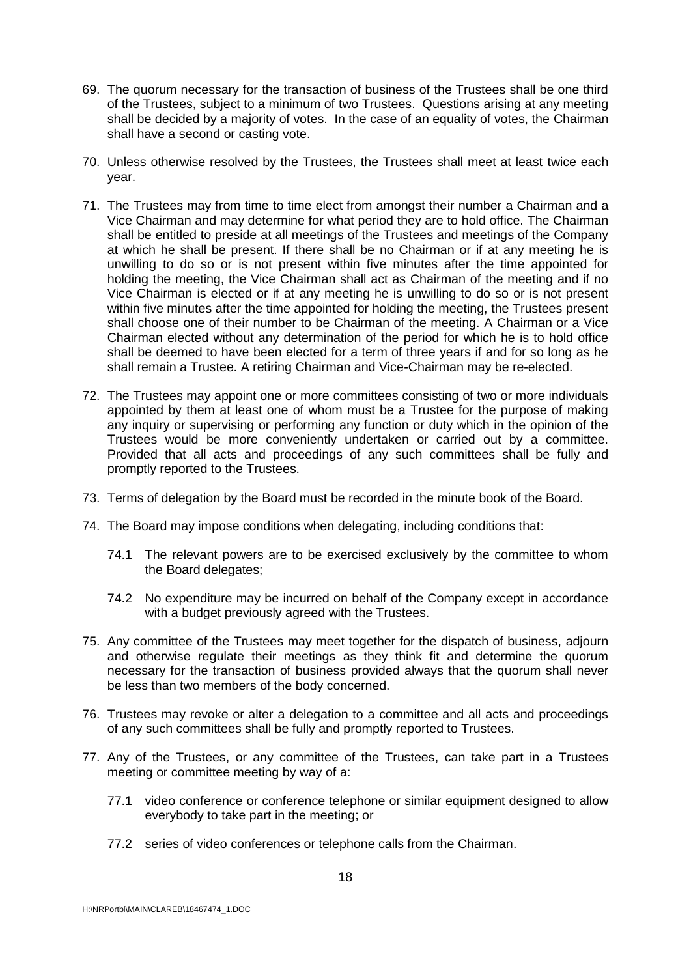- 69. The quorum necessary for the transaction of business of the Trustees shall be one third of the Trustees, subject to a minimum of two Trustees. Questions arising at any meeting shall be decided by a majority of votes. In the case of an equality of votes, the Chairman shall have a second or casting vote.
- 70. Unless otherwise resolved by the Trustees, the Trustees shall meet at least twice each year.
- 71. The Trustees may from time to time elect from amongst their number a Chairman and a Vice Chairman and may determine for what period they are to hold office. The Chairman shall be entitled to preside at all meetings of the Trustees and meetings of the Company at which he shall be present. If there shall be no Chairman or if at any meeting he is unwilling to do so or is not present within five minutes after the time appointed for holding the meeting, the Vice Chairman shall act as Chairman of the meeting and if no Vice Chairman is elected or if at any meeting he is unwilling to do so or is not present within five minutes after the time appointed for holding the meeting, the Trustees present shall choose one of their number to be Chairman of the meeting. A Chairman or a Vice Chairman elected without any determination of the period for which he is to hold office shall be deemed to have been elected for a term of three years if and for so long as he shall remain a Trustee. A retiring Chairman and Vice-Chairman may be re-elected.
- 72. The Trustees may appoint one or more committees consisting of two or more individuals appointed by them at least one of whom must be a Trustee for the purpose of making any inquiry or supervising or performing any function or duty which in the opinion of the Trustees would be more conveniently undertaken or carried out by a committee. Provided that all acts and proceedings of any such committees shall be fully and promptly reported to the Trustees.
- 73. Terms of delegation by the Board must be recorded in the minute book of the Board.
- 74. The Board may impose conditions when delegating, including conditions that:
	- 74.1 The relevant powers are to be exercised exclusively by the committee to whom the Board delegates;
	- 74.2 No expenditure may be incurred on behalf of the Company except in accordance with a budget previously agreed with the Trustees.
- 75. Any committee of the Trustees may meet together for the dispatch of business, adjourn and otherwise regulate their meetings as they think fit and determine the quorum necessary for the transaction of business provided always that the quorum shall never be less than two members of the body concerned.
- 76. Trustees may revoke or alter a delegation to a committee and all acts and proceedings of any such committees shall be fully and promptly reported to Trustees.
- 77. Any of the Trustees, or any committee of the Trustees, can take part in a Trustees meeting or committee meeting by way of a:
	- 77.1 video conference or conference telephone or similar equipment designed to allow everybody to take part in the meeting; or
	- 77.2 series of video conferences or telephone calls from the Chairman.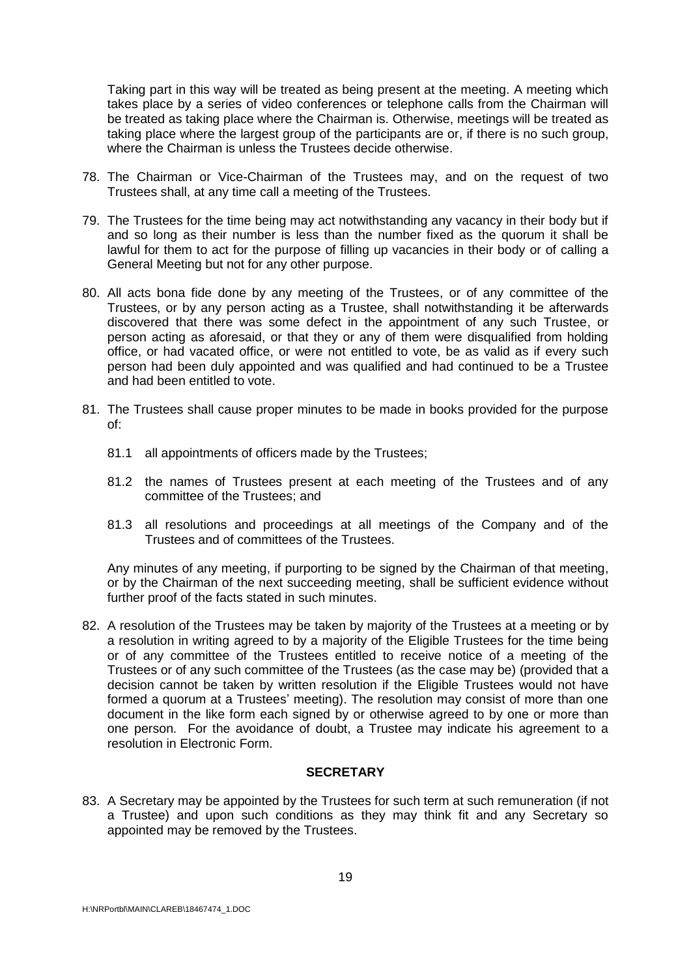Taking part in this way will be treated as being present at the meeting. A meeting which takes place by a series of video conferences or telephone calls from the Chairman will be treated as taking place where the Chairman is. Otherwise, meetings will be treated as taking place where the largest group of the participants are or, if there is no such group, where the Chairman is unless the Trustees decide otherwise.

- 78. The Chairman or Vice-Chairman of the Trustees may, and on the request of two Trustees shall, at any time call a meeting of the Trustees.
- 79. The Trustees for the time being may act notwithstanding any vacancy in their body but if and so long as their number is less than the number fixed as the quorum it shall be lawful for them to act for the purpose of filling up vacancies in their body or of calling a General Meeting but not for any other purpose.
- 80. All acts bona fide done by any meeting of the Trustees, or of any committee of the Trustees, or by any person acting as a Trustee, shall notwithstanding it be afterwards discovered that there was some defect in the appointment of any such Trustee, or person acting as aforesaid, or that they or any of them were disqualified from holding office, or had vacated office, or were not entitled to vote, be as valid as if every such person had been duly appointed and was qualified and had continued to be a Trustee and had been entitled to vote.
- 81. The Trustees shall cause proper minutes to be made in books provided for the purpose of:
	- 81.1 all appointments of officers made by the Trustees;
	- 81.2 the names of Trustees present at each meeting of the Trustees and of any committee of the Trustees; and
	- 81.3 all resolutions and proceedings at all meetings of the Company and of the Trustees and of committees of the Trustees.

Any minutes of any meeting, if purporting to be signed by the Chairman of that meeting, or by the Chairman of the next succeeding meeting, shall be sufficient evidence without further proof of the facts stated in such minutes.

82. A resolution of the Trustees may be taken by majority of the Trustees at a meeting or by a resolution in writing agreed to by a majority of the Eligible Trustees for the time being or of any committee of the Trustees entitled to receive notice of a meeting of the Trustees or of any such committee of the Trustees (as the case may be) (provided that a decision cannot be taken by written resolution if the Eligible Trustees would not have formed a quorum at a Trustees' meeting). The resolution may consist of more than one document in the like form each signed by or otherwise agreed to by one or more than one person. For the avoidance of doubt, a Trustee may indicate his agreement to a resolution in Electronic Form.

# **SECRETARY**

83. A Secretary may be appointed by the Trustees for such term at such remuneration (if not a Trustee) and upon such conditions as they may think fit and any Secretary so appointed may be removed by the Trustees.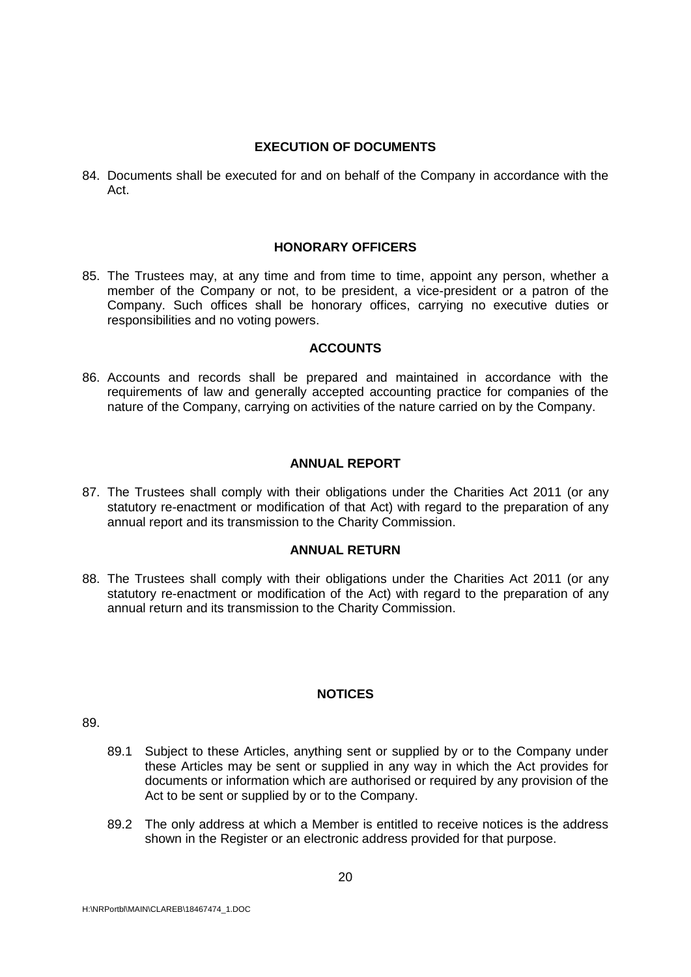# **EXECUTION OF DOCUMENTS**

84. Documents shall be executed for and on behalf of the Company in accordance with the Act.

# **HONORARY OFFICERS**

85. The Trustees may, at any time and from time to time, appoint any person, whether a member of the Company or not, to be president, a vice-president or a patron of the Company. Such offices shall be honorary offices, carrying no executive duties or responsibilities and no voting powers.

# **ACCOUNTS**

86. Accounts and records shall be prepared and maintained in accordance with the requirements of law and generally accepted accounting practice for companies of the nature of the Company, carrying on activities of the nature carried on by the Company.

# **ANNUAL REPORT**

87. The Trustees shall comply with their obligations under the Charities Act 2011 (or any statutory re-enactment or modification of that Act) with regard to the preparation of any annual report and its transmission to the Charity Commission.

# **ANNUAL RETURN**

88. The Trustees shall comply with their obligations under the Charities Act 2011 (or any statutory re-enactment or modification of the Act) with regard to the preparation of any annual return and its transmission to the Charity Commission.

# **NOTICES**

89.

- 89.1 Subject to these Articles, anything sent or supplied by or to the Company under these Articles may be sent or supplied in any way in which the Act provides for documents or information which are authorised or required by any provision of the Act to be sent or supplied by or to the Company.
- 89.2 The only address at which a Member is entitled to receive notices is the address shown in the Register or an electronic address provided for that purpose.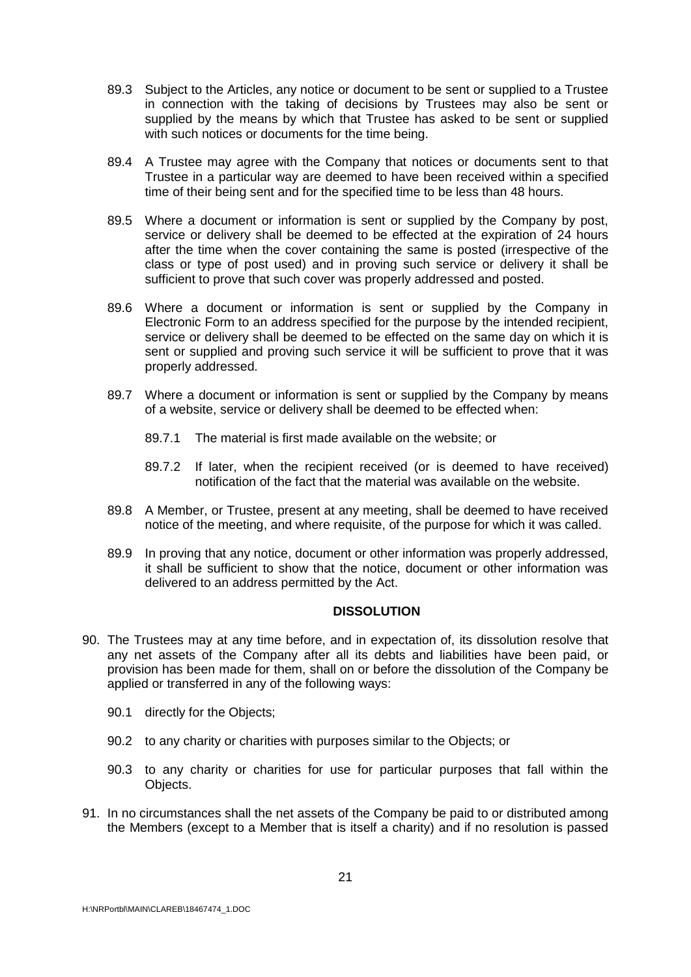- 89.3 Subject to the Articles, any notice or document to be sent or supplied to a Trustee in connection with the taking of decisions by Trustees may also be sent or supplied by the means by which that Trustee has asked to be sent or supplied with such notices or documents for the time being.
- 89.4 A Trustee may agree with the Company that notices or documents sent to that Trustee in a particular way are deemed to have been received within a specified time of their being sent and for the specified time to be less than 48 hours.
- 89.5 Where a document or information is sent or supplied by the Company by post, service or delivery shall be deemed to be effected at the expiration of 24 hours after the time when the cover containing the same is posted (irrespective of the class or type of post used) and in proving such service or delivery it shall be sufficient to prove that such cover was properly addressed and posted.
- 89.6 Where a document or information is sent or supplied by the Company in Electronic Form to an address specified for the purpose by the intended recipient, service or delivery shall be deemed to be effected on the same day on which it is sent or supplied and proving such service it will be sufficient to prove that it was properly addressed.
- 89.7 Where a document or information is sent or supplied by the Company by means of a website, service or delivery shall be deemed to be effected when:
	- 89.7.1 The material is first made available on the website; or
	- 89.7.2 If later, when the recipient received (or is deemed to have received) notification of the fact that the material was available on the website.
- 89.8 A Member, or Trustee, present at any meeting, shall be deemed to have received notice of the meeting, and where requisite, of the purpose for which it was called.
- 89.9 In proving that any notice, document or other information was properly addressed, it shall be sufficient to show that the notice, document or other information was delivered to an address permitted by the Act.

#### **DISSOLUTION**

- 90. The Trustees may at any time before, and in expectation of, its dissolution resolve that any net assets of the Company after all its debts and liabilities have been paid, or provision has been made for them, shall on or before the dissolution of the Company be applied or transferred in any of the following ways:
	- 90.1 directly for the Objects:
	- 90.2 to any charity or charities with purposes similar to the Objects; or
	- 90.3 to any charity or charities for use for particular purposes that fall within the Objects.
- 91. In no circumstances shall the net assets of the Company be paid to or distributed among the Members (except to a Member that is itself a charity) and if no resolution is passed